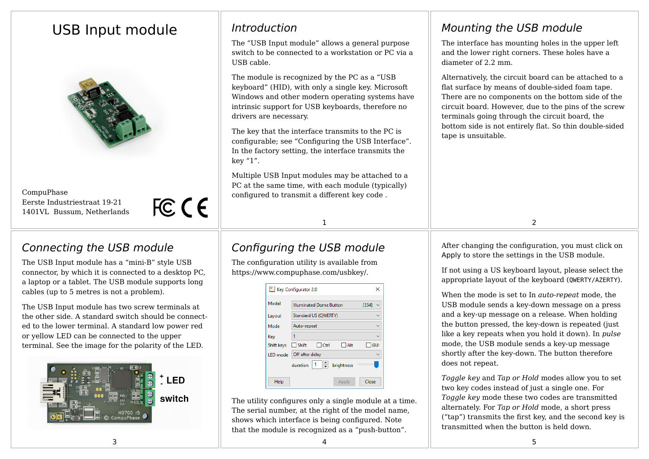# USB Input module



CompuPhase Eerste Industriestraat 19-21 1401VL Bussum, Netherlands

FCCE

### Connecting the USB module

The USB Input module has a "mini-B" style USB connector, by which it is connected to a desktop PC, a laptop or a tablet. The USB module supports long cables (up to 5 metres is not a problem).

The USB Input module has two screw terminals at the other side. A standard switch should be connected to the lower terminal. A standard low power red or yellow LED can be connected to the upper terminal. See the image for the polarity of the LED.



# Introduction

The "USB Input module" allows a general purpose switch to be connected to a workstation or PC via a USB cable.

The module is recognized by the PC as a "USB keyboard" (HID), with only a single key. Microsoft Windows and other modern operating systems have intrinsic support for USB keyboards, therefore no drivers are necessary.

The key that the interface transmits to the PC is configurable; see "Configuring the USB Interface". In the factory setting, the interface transmits the key "1".

Multiple USB Input modules may be attached to a PC at the same time, with each module (typically) configured to transmit a different key code .

Mounting the USB module

The interface has mounting holes in the upper left and the lower right corners. These holes have a diameter of 2.2 mm

Alternatively, the circuit board can be attached to a flat surface by means of double-sided foam tape. There are no components on the bottom side of the circuit board. However, due to the pins of the screw terminals going through the circuit board, the bottom side is not entirely flat. So thin double-sided tape is unsuitable.

1 and  $\overline{2}$ 

## Configuring the USB module

The configuration utility is available from https://www.compuphase.com/usbkey/.

|                  | Key Configurator 2.0                    | ×          |
|------------------|-----------------------------------------|------------|
| Model            | <b>Illuminated Dome Button</b><br>[334] |            |
| Layout           | Standard US (QWERTY)                    |            |
| Mode             | Auto-repeat                             |            |
| Key              |                                         |            |
| Shift keys Shift | $\Box$ Ctrl<br>$\Box$ Alt               | $\Box$ GUI |
| LED mode         | Off after delay                         |            |
|                  | - 10<br>duration<br>brightness          |            |
| Help             | Apply                                   | Close      |

The utility configures only a single module at a time. The serial number, at the right of the model name. shows which interface is being configured. Note that the module is recognized as a "push-button".

After changing the configuration, you must click on Apply to store the settings in the USB module.

If not using a US keyboard layout, please select the appropriate layout of the keyboard (QWERTY/AZERTY).

When the mode is set to In *auto-repeat* mode, the USB module sends a key-down message on a press and a key-up message on a release. When holding the button pressed, the key-down is repeated (just like a key repeats when you hold it down). In *pulse* mode, the USB module sends a key-up message shortly after the key-down. The button therefore does not repeat.

*Toggle key* and *Tap or Hold* modes allow you to set two key codes instead of just a single one. For *Toggle key* mode these two codes are transmitted alternately. For *Tap or Hold* mode, a short press ("tap") transmits the first key, and the second key is transmitted when the button is held down.

 $\overline{\mathbf{3}}$  3  $\overline{\mathbf{5}}$  5